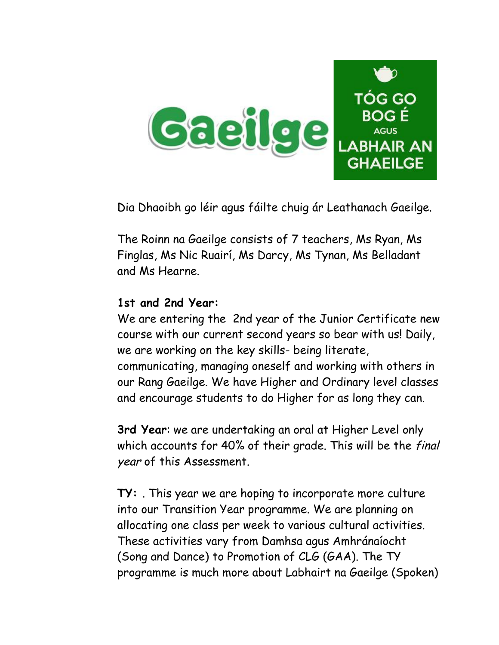

Dia Dhaoibh go léir agus fáilte chuig ár Leathanach Gaeilge.

The Roinn na Gaeilge consists of 7 teachers, Ms Ryan, Ms Finglas, Ms Nic Ruairí, Ms Darcy, Ms Tynan, Ms Belladant and Ms Hearne.

## **1st and 2nd Year:**

We are entering the 2nd year of the Junior Certificate new course with our current second years so bear with us! Daily, we are working on the key skills- being literate, communicating, managing oneself and working with others in our Rang Gaeilge. We have Higher and Ordinary level classes and encourage students to do Higher for as long they can.

**3rd Year**: we are undertaking an oral at Higher Level only which accounts for 40% of their grade. This will be the final year of this Assessment.

**TY:** . This year we are hoping to incorporate more culture into our Transition Year programme. We are planning on allocating one class per week to various cultural activities. These activities vary from Damhsa agus Amhránaíocht (Song and Dance) to Promotion of CLG (GAA). The TY programme is much more about Labhairt na Gaeilge (Spoken)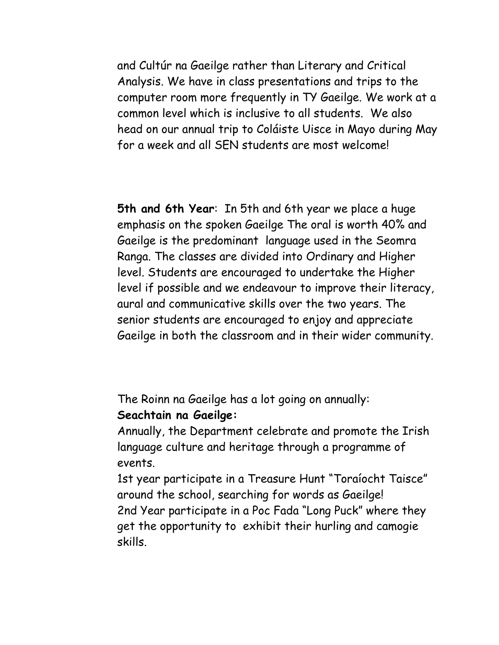and Cultúr na Gaeilge rather than Literary and Critical Analysis. We have in class presentations and trips to the computer room more frequently in TY Gaeilge. We work at a common level which is inclusive to all students. We also head on our annual trip to Coláiste Uisce in Mayo during May for a week and all SEN students are most welcome!

**5th and 6th Year**: In 5th and 6th year we place a huge emphasis on the spoken Gaeilge The oral is worth 40% and Gaeilge is the predominant language used in the Seomra Ranga. The classes are divided into Ordinary and Higher level. Students are encouraged to undertake the Higher level if possible and we endeavour to improve their literacy, aural and communicative skills over the two years. The senior students are encouraged to enjoy and appreciate Gaeilge in both the classroom and in their wider community.

The Roinn na Gaeilge has a lot going on annually: **Seachtain na Gaeilge:**

Annually, the Department celebrate and promote the Irish language culture and heritage through a programme of events.

1st year participate in a Treasure Hunt "Toraíocht Taisce" around the school, searching for words as Gaeilge! 2nd Year participate in a Poc Fada "Long Puck" where they get the opportunity to exhibit their hurling and camogie skills.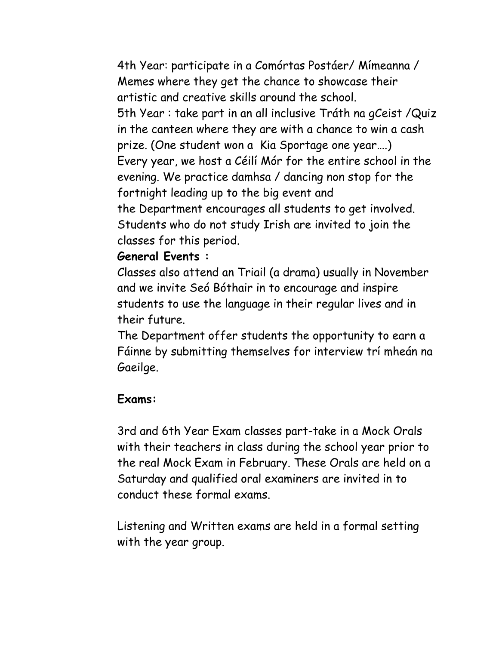4th Year: participate in a Comórtas Postáer/ Mímeanna / Memes where they get the chance to showcase their artistic and creative skills around the school. 5th Year : take part in an all inclusive Tráth na gCeist /Quiz in the canteen where they are with a chance to win a cash prize. (One student won a Kia Sportage one year….) Every year, we host a Céilí Mór for the entire school in the evening. We practice damhsa / dancing non stop for the fortnight leading up to the big event and the Department encourages all students to get involved. Students who do not study Irish are invited to join the classes for this period.

## **General Events :**

Classes also attend an Triail (a drama) usually in November and we invite Seó Bóthair in to encourage and inspire students to use the language in their regular lives and in their future.

The Department offer students the opportunity to earn a Fáinne by submitting themselves for interview trí mheán na Gaeilge.

## **Exams:**

3rd and 6th Year Exam classes part-take in a Mock Orals with their teachers in class during the school year prior to the real Mock Exam in February. These Orals are held on a Saturday and qualified oral examiners are invited in to conduct these formal exams.

Listening and Written exams are held in a formal setting with the year group.